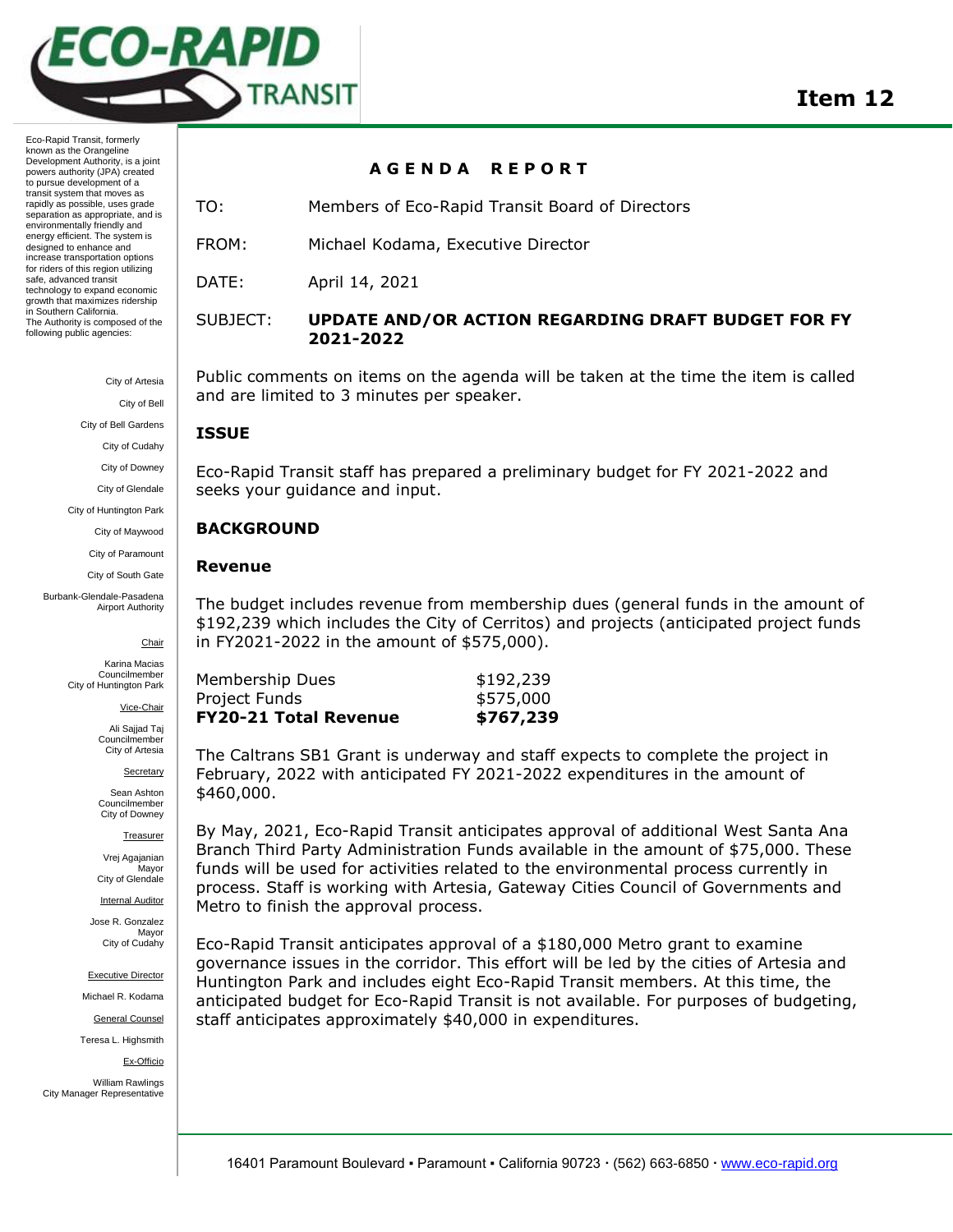

Eco-Rapid Transit, formerly known as the Orangeline Development Authority, is a joint powers authority (JPA) created to pursue development of a transit system that moves as rapidly as possible, uses grade separation as appropriate, and is environmentally friendly and energy efficient. The system is designed to enhance and increase transportation options for riders of this region utilizing safe, advanced transit technology to expand economic growth that maximizes ridership in Southern California. The Authority is composed of the following public agencies:

City of Artesia

City of Bell

City of Bell Gardens

City of Cudahy

City of Downey

City of Glendale

City of Huntington Park City of Maywood

City of Paramount

City of South Gate

Burbank-Glendale-Pasadena Airport Authority

Chair

Karina Macias Councilmember City of Huntington Park

Vice-Chair

Ali Sajjad Taj Councilmember City of Artesia

Secretary

Sean Ashton **Councilmember** City of Downey

Treasurer

Vrej Agajanian **Mavor** City of Glendale

Internal Auditor

Jose R. Gonzalez Mayor City of Cudahy

Executive Director

Michael R. Kodama

General Counsel

Teresa L. Highsmith

Ex-Officio

William Rawlings City Manager Representative

## **A G E N D A R E P O R T**

TO: Members of Eco-Rapid Transit Board of Directors

FROM: Michael Kodama, Executive Director

DATE: April 14, 2021

SUBJECT: **UPDATE AND/OR ACTION REGARDING DRAFT BUDGET FOR FY 2021-2022**

Public comments on items on the agenda will be taken at the time the item is called and are limited to 3 minutes per speaker.

## **ISSUE**

Eco-Rapid Transit staff has prepared a preliminary budget for FY 2021-2022 and seeks your guidance and input.

## **BACKGROUND**

## **Revenue**

The budget includes revenue from membership dues (general funds in the amount of \$192,239 which includes the City of Cerritos) and projects (anticipated project funds in FY2021-2022 in the amount of \$575,000).

| <b>FY20-21 Total Revenue</b> | \$767,239 |
|------------------------------|-----------|
| Project Funds                | \$575,000 |
| Membership Dues              | \$192,239 |

The Caltrans SB1 Grant is underway and staff expects to complete the project in February, 2022 with anticipated FY 2021-2022 expenditures in the amount of \$460,000.

By May, 2021, Eco-Rapid Transit anticipates approval of additional West Santa Ana Branch Third Party Administration Funds available in the amount of \$75,000. These funds will be used for activities related to the environmental process currently in process. Staff is working with Artesia, Gateway Cities Council of Governments and Metro to finish the approval process.

Eco-Rapid Transit anticipates approval of a \$180,000 Metro grant to examine governance issues in the corridor. This effort will be led by the cities of Artesia and Huntington Park and includes eight Eco-Rapid Transit members. At this time, the anticipated budget for Eco-Rapid Transit is not available. For purposes of budgeting, staff anticipates approximately \$40,000 in expenditures.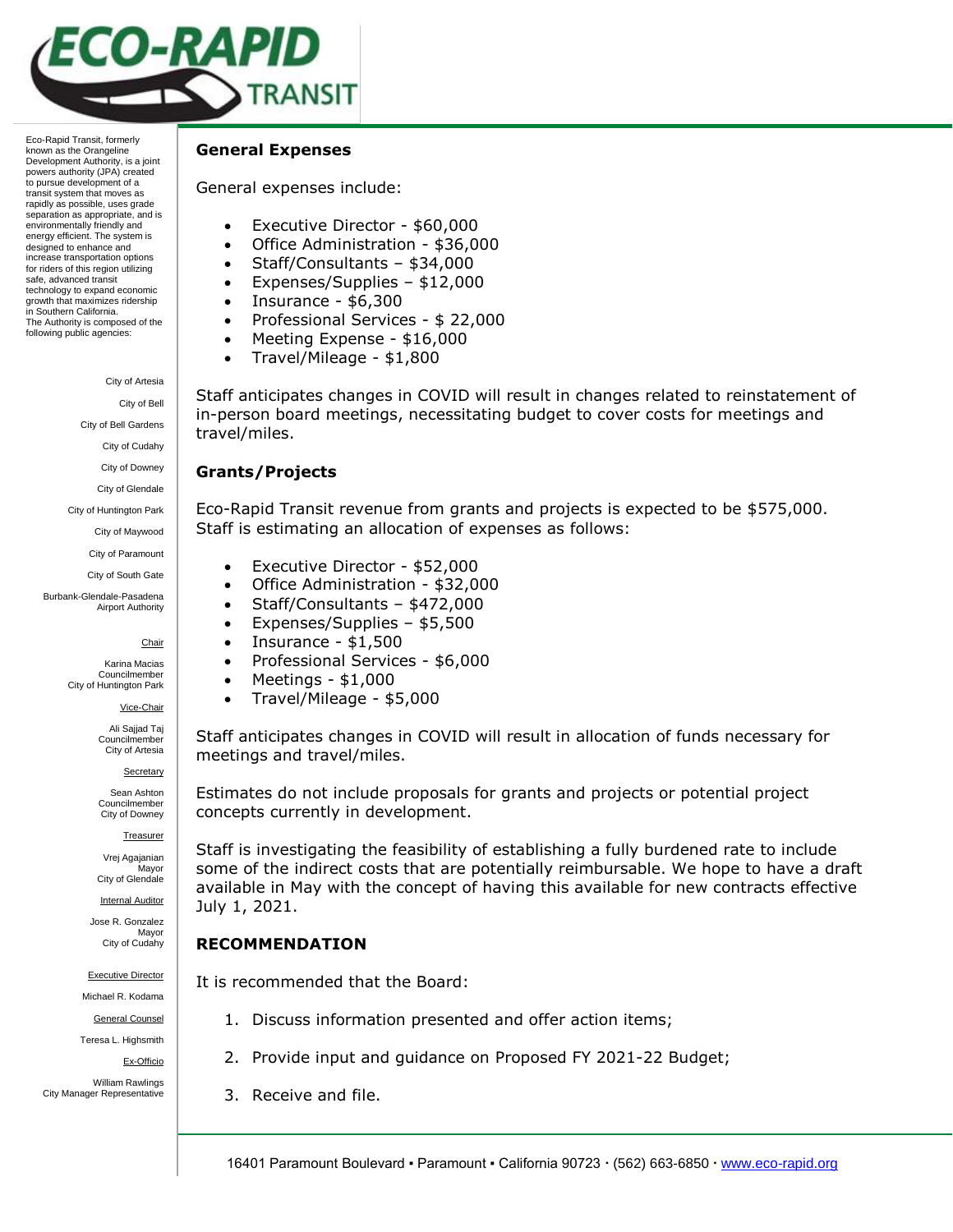

Eco-Rapid Transit, formerly known as the Orangeline Development Authority, is a joint powers authority (JPA) created to pursue development of a transit system that moves as rapidly as possible, uses grade separation as appropriate, and is environmentally friendly and energy efficient. The system is designed to enhance and increase transportation options for riders of this region utilizing safe, advanced transit technology to expand economic growth that maximizes ridership in Southern California. The Authority is composed of the following public agencies:

City of Artesia

City of Bell

City of Bell Gardens

City of Cudahy

City of Downey

City of Glendale

City of Huntington Park

City of Maywood City of Paramount

City of South Gate

Burbank-Glendale-Pasadena

Airport Authority

Chair

Karina Macias Councilmember City of Huntington Park

Vice-Chair

Ali Sajjad Taj Councilmember City of Artesia

Secretary

Sean Ashton Councilmember City of Downey

Treasurer

Vrej Agajanian **Mavor** City of Glendale

Internal Auditor

Jose R. Gonzalez Mayor City of Cudahy

Executive Director

Michael R. Kodama General Counsel

Teresa L. Highsmith

Ex-Officio

William Rawlings City Manager Representative

#### **General Expenses**

General expenses include:

- Executive Director \$60,000
- Office Administration \$36,000
- Staff/Consultants \$34,000
- Expenses/Supplies \$12,000
- $\bullet$  Insurance \$6,300
- Professional Services \$ 22,000
- Meeting Expense \$16,000
- Travel/Mileage  $$1,800$

Staff anticipates changes in COVID will result in changes related to reinstatement of in-person board meetings, necessitating budget to cover costs for meetings and travel/miles.

### **Grants/Projects**

Eco-Rapid Transit revenue from grants and projects is expected to be \$575,000. Staff is estimating an allocation of expenses as follows:

- Executive Director \$52,000
- Office Administration \$32,000
- Staff/Consultants \$472,000
- Expenses/Supplies \$5,500
- $\bullet$  Insurance \$1,500
- Professional Services \$6,000
- $\bullet$  Meetings \$1,000
- Travel/Mileage \$5,000

Staff anticipates changes in COVID will result in allocation of funds necessary for meetings and travel/miles.

Estimates do not include proposals for grants and projects or potential project concepts currently in development.

Staff is investigating the feasibility of establishing a fully burdened rate to include some of the indirect costs that are potentially reimbursable. We hope to have a draft available in May with the concept of having this available for new contracts effective July 1, 2021.

## **RECOMMENDATION**

It is recommended that the Board:

- 1. Discuss information presented and offer action items;
- 2. Provide input and guidance on Proposed FY 2021-22 Budget;
- 3. Receive and file.